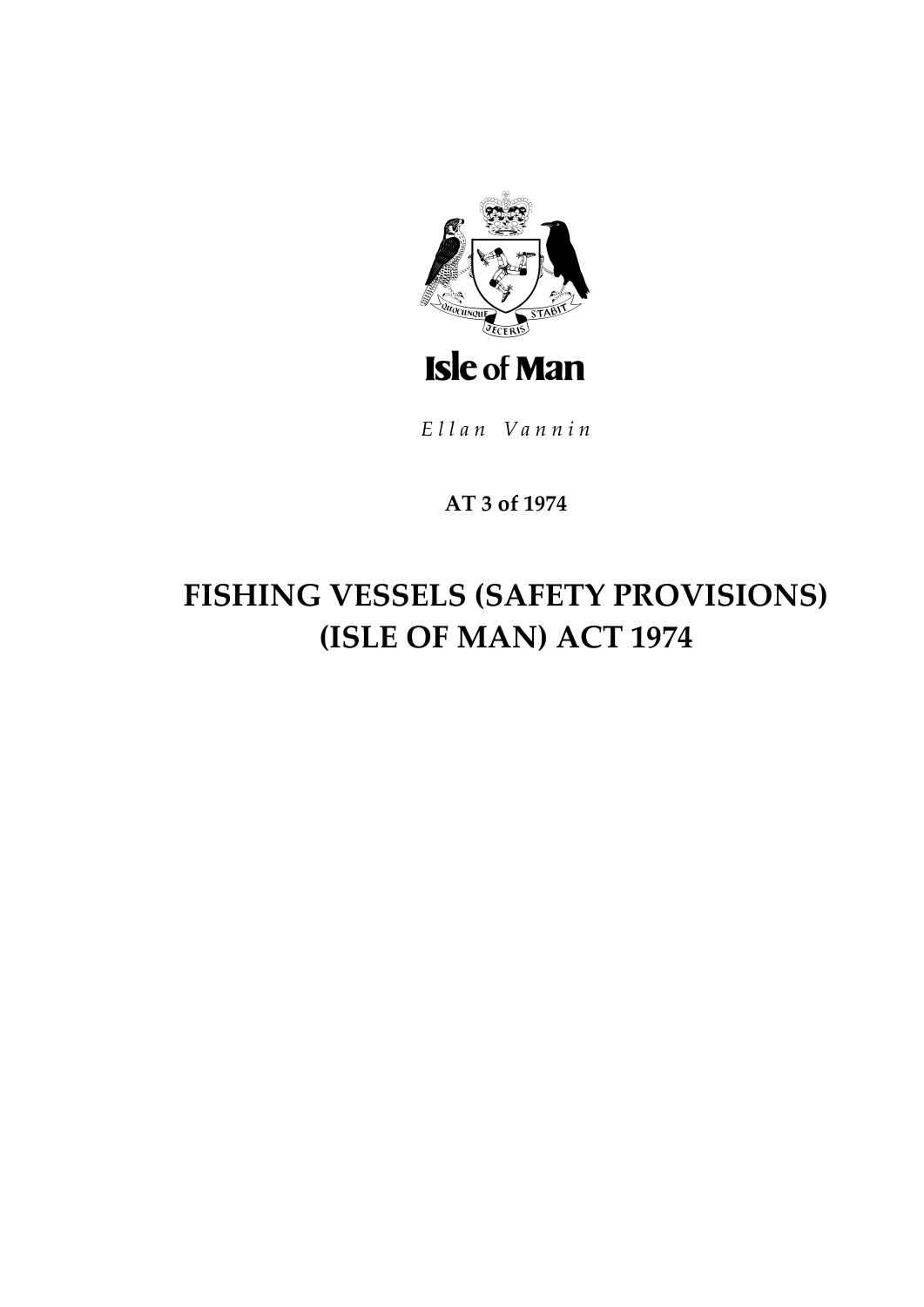

Ellan Vannin

### AT 3 of 1974

# FISHING VESSELS (SAFETY PROVISIONS) (ISLE OF MAN) ACT 1974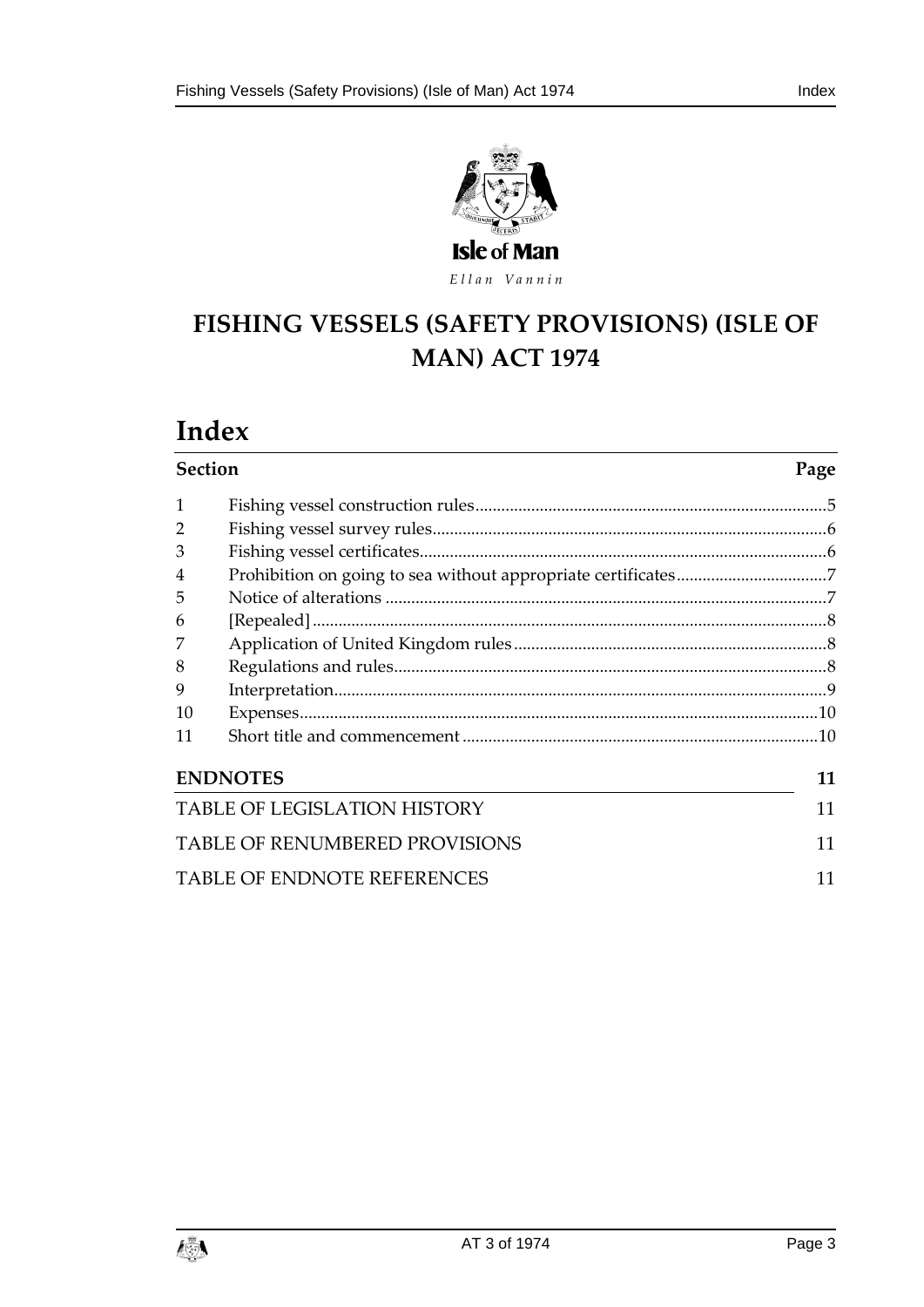



## **FISHING VESSELS (SAF ETY PROVISIONS) (ISLE OF MAN) ACT 1974**

# **Index**

| <b>Section</b>                              | Page                               |  |  |
|---------------------------------------------|------------------------------------|--|--|
| 1                                           |                                    |  |  |
| $\overline{2}$                              |                                    |  |  |
| 3                                           |                                    |  |  |
| 4                                           |                                    |  |  |
| 5                                           |                                    |  |  |
| 6                                           |                                    |  |  |
|                                             |                                    |  |  |
| 8                                           |                                    |  |  |
| 9                                           |                                    |  |  |
| 10                                          |                                    |  |  |
| 11                                          |                                    |  |  |
| <b>ENDNOTES</b><br>11                       |                                    |  |  |
| <b>TABLE OF LEGISLATION HISTORY</b><br>11   |                                    |  |  |
| <b>TABLE OF RENUMBERED PROVISIONS</b><br>11 |                                    |  |  |
|                                             | <b>TABLE OF ENDNOTE REFERENCES</b> |  |  |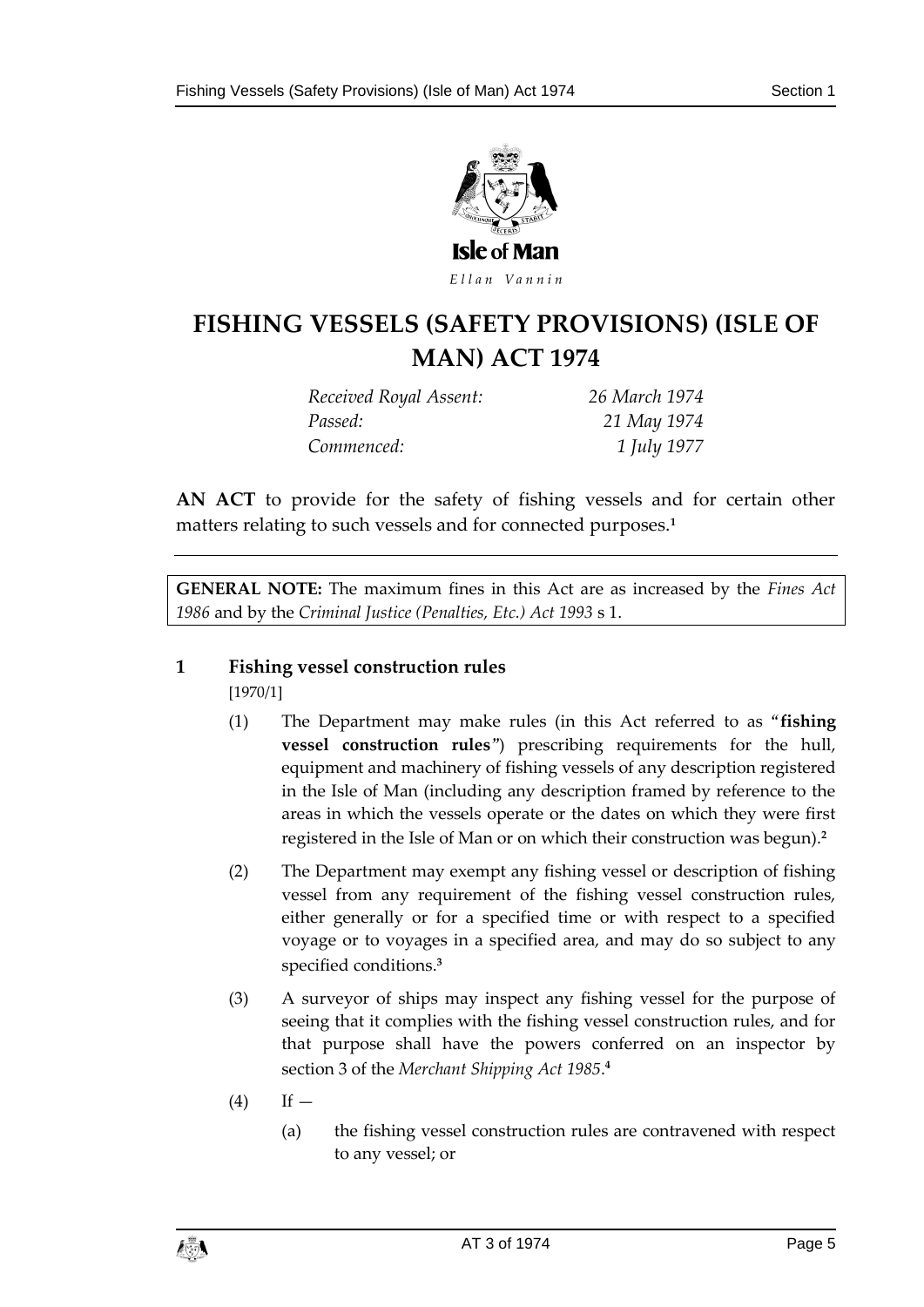

### **FISHING VESSELS (SAF ETY PROVISIONS) (ISLE OF MAN) ACT 1974**

*Received Royal Assent: 26 March 1974 Passed: 21 May 1974 Commenced: 1 July 1977*

**AN ACT** to provide for the safety of fishing vessels and for certain other matters relating to such vessels and for connected purposes.**<sup>1</sup>**

**GENERAL NOTE:** The maximum fines in this Act are as increased by the *Fines Act 1986* and by the *Criminal Justice (Penalties, Etc.) Act 1993* s 1.

#### <span id="page-4-0"></span>**1 Fishing vessel construction rules**

[1970/1]

- (1) The Department may make rules (in this Act referred to as "**fishing vessel construction rules**") prescribing requirements for the hull, equipment and machinery of fishing vessels of any description registered in the Isle of Man (including any description framed by reference to the areas in which the vessels operate or the dates on which they were first registered in the Isle of Man or on which their construction was begun).**<sup>2</sup>**
- (2) The Department may exempt any fishing vessel or description of fishing vessel from any requirement of the fishing vessel construction rules, either generally or for a specified time or with respect to a specified voyage or to voyages in a specified area, and may do so subject to any specified conditions.**<sup>3</sup>**
- (3) A surveyor of ships may inspect any fishing vessel for the purpose of seeing that it complies with the fishing vessel construction rules, and for that purpose shall have the powers conferred on an inspector by section 3 of the *Merchant Shipping Act 1985*. **4**
- $(4)$  If  $-$ 
	- (a) the fishing vessel construction rules are contravened with respect to any vessel; or

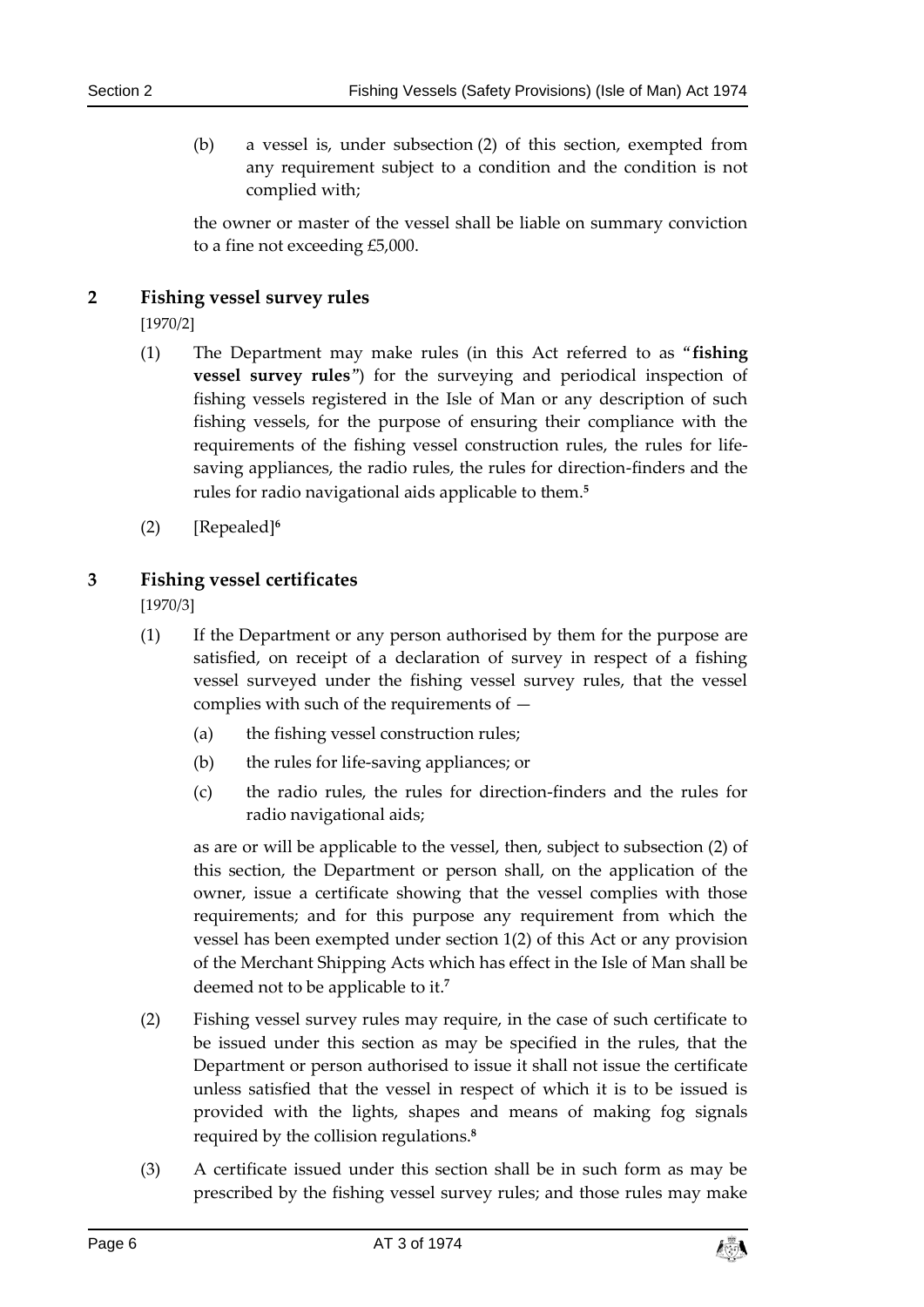(b) a vessel is, under subsection (2) of this section, exempted from any requirement subject to a condition and the condition is not complied with;

the owner or master of the vessel shall be liable on summary conviction to a fine not exceeding £5,000.

#### <span id="page-5-0"></span>**2 Fishing vessel survey rules**

[1970/2]

- (1) The Department may make rules (in this Act referred to as "**fishing vessel survey rules**") for the surveying and periodical inspection of fishing vessels registered in the Isle of Man or any description of such fishing vessels, for the purpose of ensuring their compliance with the requirements of the fishing vessel construction rules, the rules for lifesaving appliances, the radio rules, the rules for direction-finders and the rules for radio navigational aids applicable to them.**<sup>5</sup>**
- (2) [Repealed]**<sup>6</sup>**

#### <span id="page-5-1"></span>**3 Fishing vessel certificates**

[1970/3]

- (1) If the Department or any person authorised by them for the purpose are satisfied, on receipt of a declaration of survey in respect of a fishing vessel surveyed under the fishing vessel survey rules, that the vessel complies with such of the requirements of —
	- (a) the fishing vessel construction rules;
	- (b) the rules for life-saving appliances; or
	- (c) the radio rules, the rules for direction-finders and the rules for radio navigational aids;

as are or will be applicable to the vessel, then, subject to subsection (2) of this section, the Department or person shall, on the application of the owner, issue a certificate showing that the vessel complies with those requirements; and for this purpose any requirement from which the vessel has been exempted under section 1(2) of this Act or any provision of the Merchant Shipping Acts which has effect in the Isle of Man shall be deemed not to be applicable to it.**<sup>7</sup>**

- (2) Fishing vessel survey rules may require, in the case of such certificate to be issued under this section as may be specified in the rules, that the Department or person authorised to issue it shall not issue the certificate unless satisfied that the vessel in respect of which it is to be issued is provided with the lights, shapes and means of making fog signals required by the collision regulations.**<sup>8</sup>**
- (3) A certificate issued under this section shall be in such form as may be prescribed by the fishing vessel survey rules; and those rules may make

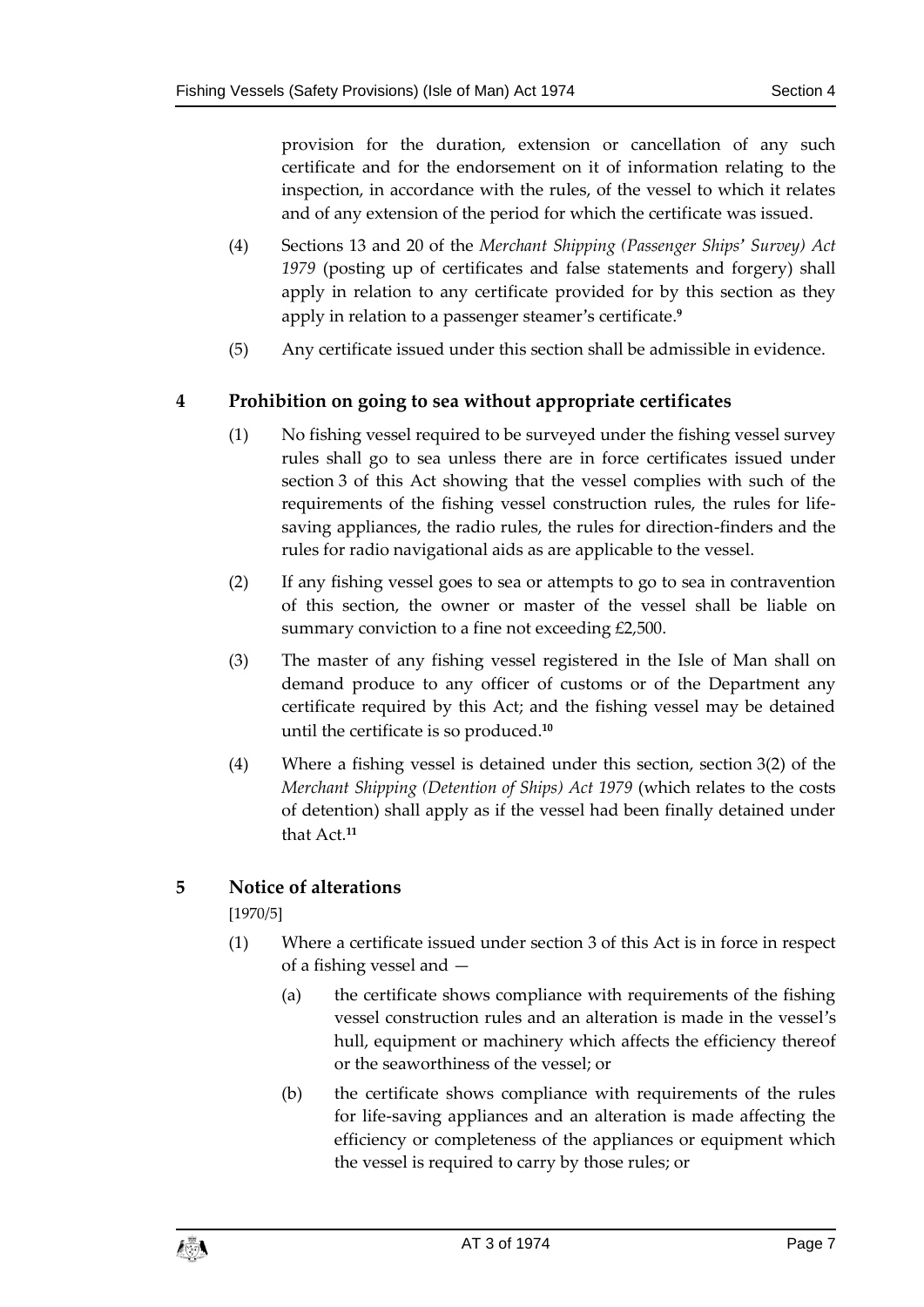provision for the duration, extension or cancellation of any such certificate and for the endorsement on it of information relating to the inspection, in accordance with the rules, of the vessel to which it relates and of any extension of the period for which the certificate was issued.

- (4) Sections 13 and 20 of the *Merchant Shipping (Passenger Ships' Survey) Act 1979* (posting up of certificates and false statements and forgery) shall apply in relation to any certificate provided for by this section as they apply in relation to a passenger steamer's certificate.**<sup>9</sup>**
- (5) Any certificate issued under this section shall be admissible in evidence.

#### <span id="page-6-0"></span>**4 Prohibition on going to sea without appropriate certificates**

- (1) No fishing vessel required to be surveyed under the fishing vessel survey rules shall go to sea unless there are in force certificates issued under section 3 of this Act showing that the vessel complies with such of the requirements of the fishing vessel construction rules, the rules for lifesaving appliances, the radio rules, the rules for direction-finders and the rules for radio navigational aids as are applicable to the vessel.
- (2) If any fishing vessel goes to sea or attempts to go to sea in contravention of this section, the owner or master of the vessel shall be liable on summary conviction to a fine not exceeding £2,500.
- (3) The master of any fishing vessel registered in the Isle of Man shall on demand produce to any officer of customs or of the Department any certificate required by this Act; and the fishing vessel may be detained until the certificate is so produced.**<sup>10</sup>**
- (4) Where a fishing vessel is detained under this section, section 3(2) of the *Merchant Shipping (Detention of Ships) Act 1979* (which relates to the costs of detention) shall apply as if the vessel had been finally detained under that Act.**<sup>11</sup>**

#### <span id="page-6-1"></span>**5 Notice of alterations**

[1970/5]

- (1) Where a certificate issued under section 3 of this Act is in force in respect of a fishing vessel and —
	- (a) the certificate shows compliance with requirements of the fishing vessel construction rules and an alteration is made in the vessel's hull, equipment or machinery which affects the efficiency thereof or the seaworthiness of the vessel; or
	- (b) the certificate shows compliance with requirements of the rules for life-saving appliances and an alteration is made affecting the efficiency or completeness of the appliances or equipment which the vessel is required to carry by those rules; or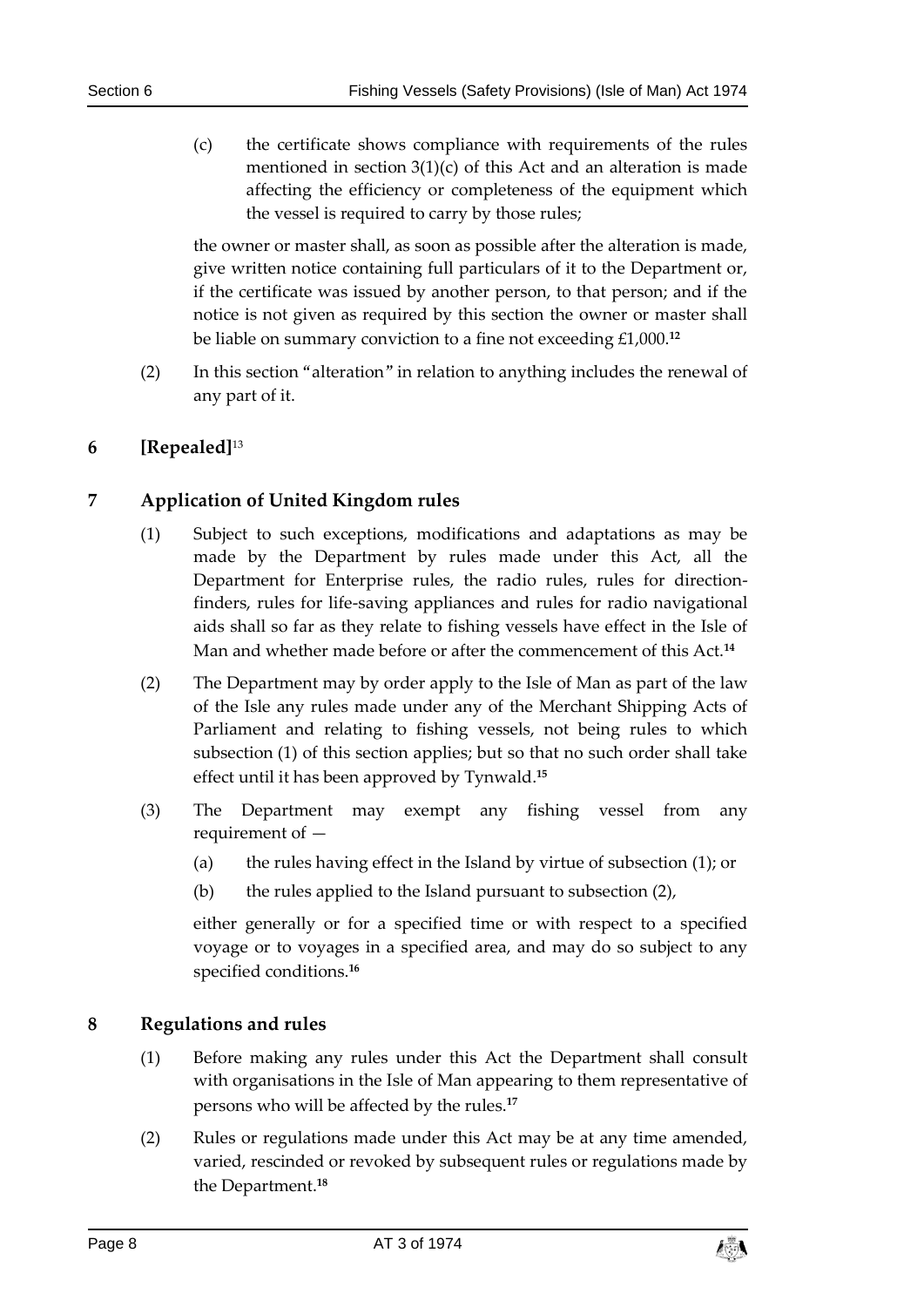(c) the certificate shows compliance with requirements of the rules mentioned in section 3(1)(c) of this Act and an alteration is made affecting the efficiency or completeness of the equipment which the vessel is required to carry by those rules;

the owner or master shall, as soon as possible after the alteration is made, give written notice containing full particulars of it to the Department or, if the certificate was issued by another person, to that person; and if the notice is not given as required by this section the owner or master shall be liable on summary conviction to a fine not exceeding £1,000.**<sup>12</sup>**

(2) In this section "alteration" in relation to anything includes the renewal of any part of it.

#### <span id="page-7-0"></span>**6 [Repealed]**<sup>13</sup>

#### <span id="page-7-1"></span>**7 Application of United Kingdom rules**

- (1) Subject to such exceptions, modifications and adaptations as may be made by the Department by rules made under this Act, all the Department for Enterprise rules, the radio rules, rules for directionfinders, rules for life-saving appliances and rules for radio navigational aids shall so far as they relate to fishing vessels have effect in the Isle of Man and whether made before or after the commencement of this Act.**<sup>14</sup>**
- (2) The Department may by order apply to the Isle of Man as part of the law of the Isle any rules made under any of the Merchant Shipping Acts of Parliament and relating to fishing vessels, not being rules to which subsection (1) of this section applies; but so that no such order shall take effect until it has been approved by Tynwald.**<sup>15</sup>**
- (3) The Department may exempt any fishing vessel from any requirement of —
	- (a) the rules having effect in the Island by virtue of subsection (1); or
	- (b) the rules applied to the Island pursuant to subsection (2),

either generally or for a specified time or with respect to a specified voyage or to voyages in a specified area, and may do so subject to any specified conditions.**<sup>16</sup>**

#### <span id="page-7-2"></span>**8 Regulations and rules**

- (1) Before making any rules under this Act the Department shall consult with organisations in the Isle of Man appearing to them representative of persons who will be affected by the rules.**<sup>17</sup>**
- (2) Rules or regulations made under this Act may be at any time amended, varied, rescinded or revoked by subsequent rules or regulations made by the Department.**18**

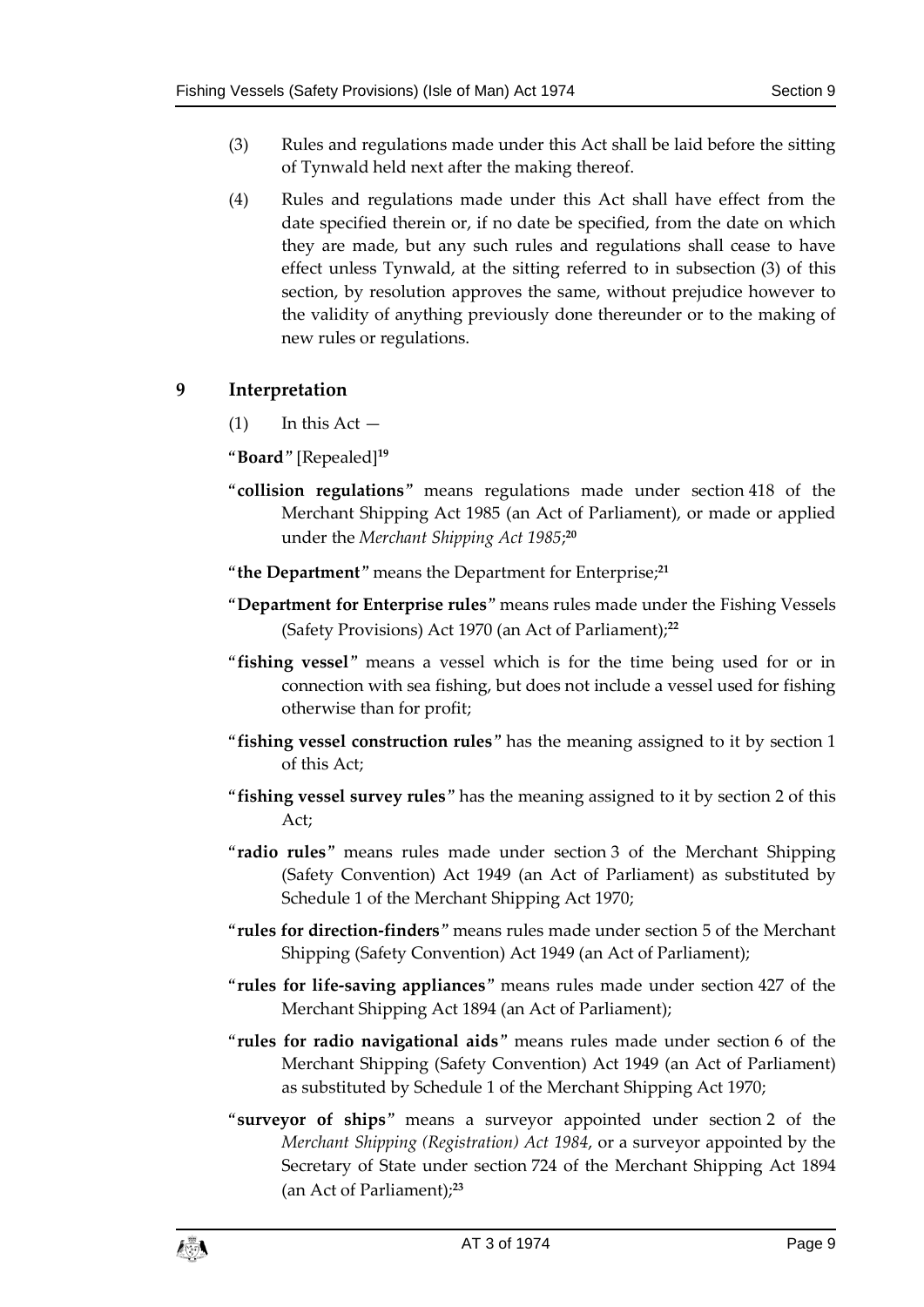- (3) Rules and regulations made under this Act shall be laid before the sitting of Tynwald held next after the making thereof.
- (4) Rules and regulations made under this Act shall have effect from the date specified therein or, if no date be specified, from the date on which they are made, but any such rules and regulations shall cease to have effect unless Tynwald, at the sitting referred to in subsection (3) of this section, by resolution approves the same, without prejudice however to the validity of anything previously done thereunder or to the making of new rules or regulations.

#### <span id="page-8-0"></span>**9 Interpretation**

 $(1)$  In this Act  $-$ 

"**Board**" [Repealed]**<sup>19</sup>**

- "**collision regulations**" means regulations made under section 418 of the Merchant Shipping Act 1985 (an Act of Parliament), or made or applied under the *Merchant Shipping Act 1985*; **20**
- "**the Department**" means the Department for Enterprise; **21**
- "**Department for Enterprise rules**" means rules made under the Fishing Vessels (Safety Provisions) Act 1970 (an Act of Parliament);**<sup>22</sup>**
- "**fishing vessel**" means a vessel which is for the time being used for or in connection with sea fishing, but does not include a vessel used for fishing otherwise than for profit;
- "**fishing vessel construction rules**" has the meaning assigned to it by section 1 of this Act;
- "**fishing vessel survey rules**" has the meaning assigned to it by section 2 of this  $Act$
- "**radio rules**" means rules made under section 3 of the Merchant Shipping (Safety Convention) Act 1949 (an Act of Parliament) as substituted by Schedule 1 of the Merchant Shipping Act 1970;
- "**rules for direction-finders**" means rules made under section 5 of the Merchant Shipping (Safety Convention) Act 1949 (an Act of Parliament);
- "**rules for life-saving appliances**" means rules made under section 427 of the Merchant Shipping Act 1894 (an Act of Parliament);
- "**rules for radio navigational aids**" means rules made under section 6 of the Merchant Shipping (Safety Convention) Act 1949 (an Act of Parliament) as substituted by Schedule 1 of the Merchant Shipping Act 1970;
- "**surveyor of ships**" means a surveyor appointed under section 2 of the *Merchant Shipping (Registration) Act 1984*, or a surveyor appointed by the Secretary of State under section 724 of the Merchant Shipping Act 1894 (an Act of Parliament);**23**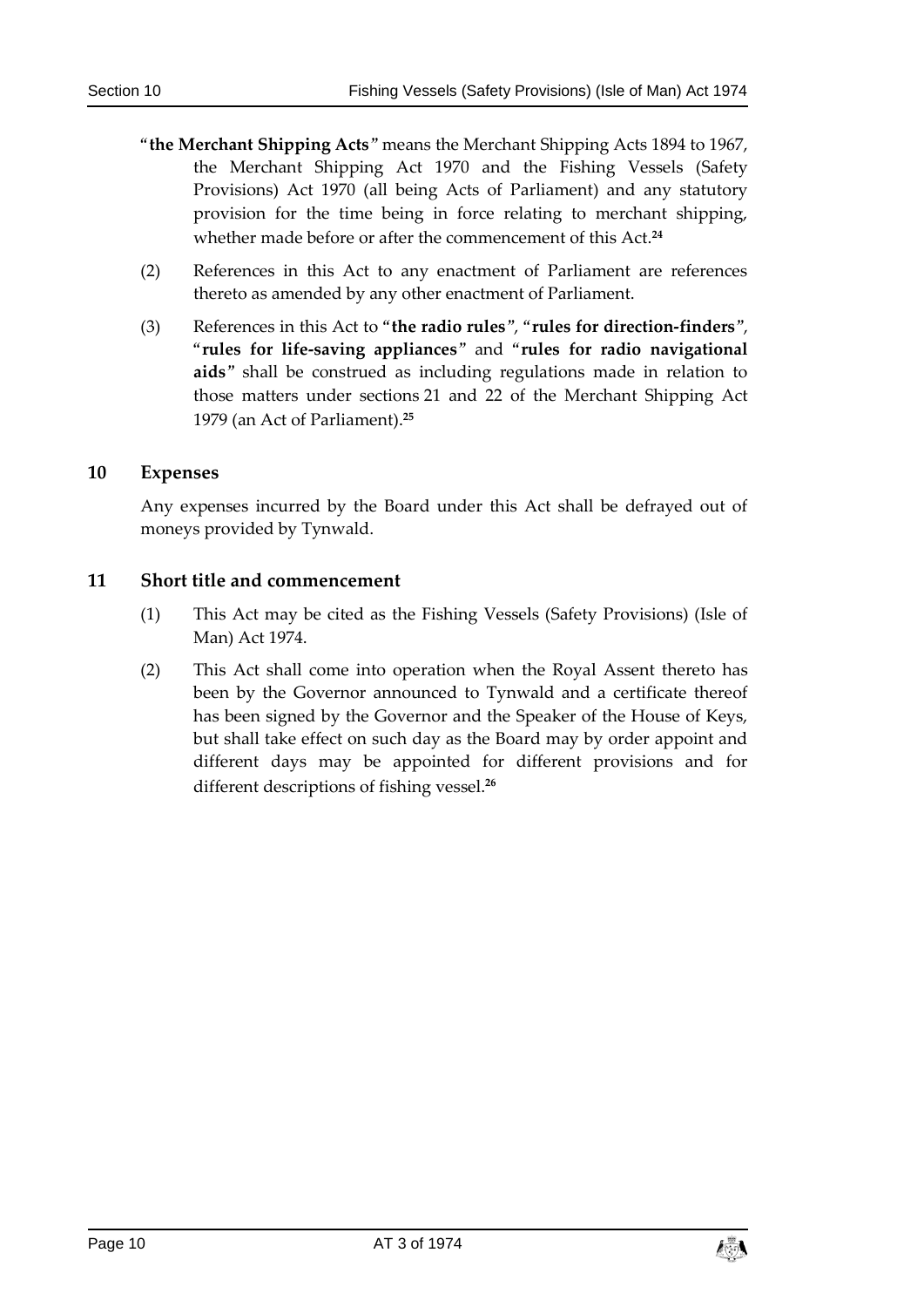- "**the Merchant Shipping Acts**" means the Merchant Shipping Acts 1894 to 1967, the Merchant Shipping Act 1970 and the Fishing Vessels (Safety Provisions) Act 1970 (all being Acts of Parliament) and any statutory provision for the time being in force relating to merchant shipping, whether made before or after the commencement of this Act.**<sup>24</sup>**
- (2) References in this Act to any enactment of Parliament are references thereto as amended by any other enactment of Parliament.
- (3) References in this Act to "**the radio rules**", "**rules for direction-finders**", "**rules for life-saving appliances**" and "**rules for radio navigational aids**" shall be construed as including regulations made in relation to those matters under sections 21 and 22 of the Merchant Shipping Act 1979 (an Act of Parliament).**<sup>25</sup>**

#### <span id="page-9-0"></span>**10 Expenses**

Any expenses incurred by the Board under this Act shall be defrayed out of moneys provided by Tynwald.

#### <span id="page-9-1"></span>**11 Short title and commencement**

- (1) This Act may be cited as the Fishing Vessels (Safety Provisions) (Isle of Man) Act 1974.
- (2) This Act shall come into operation when the Royal Assent thereto has been by the Governor announced to Tynwald and a certificate thereof has been signed by the Governor and the Speaker of the House of Keys, but shall take effect on such day as the Board may by order appoint and different days may be appointed for different provisions and for different descriptions of fishing vessel.**26**

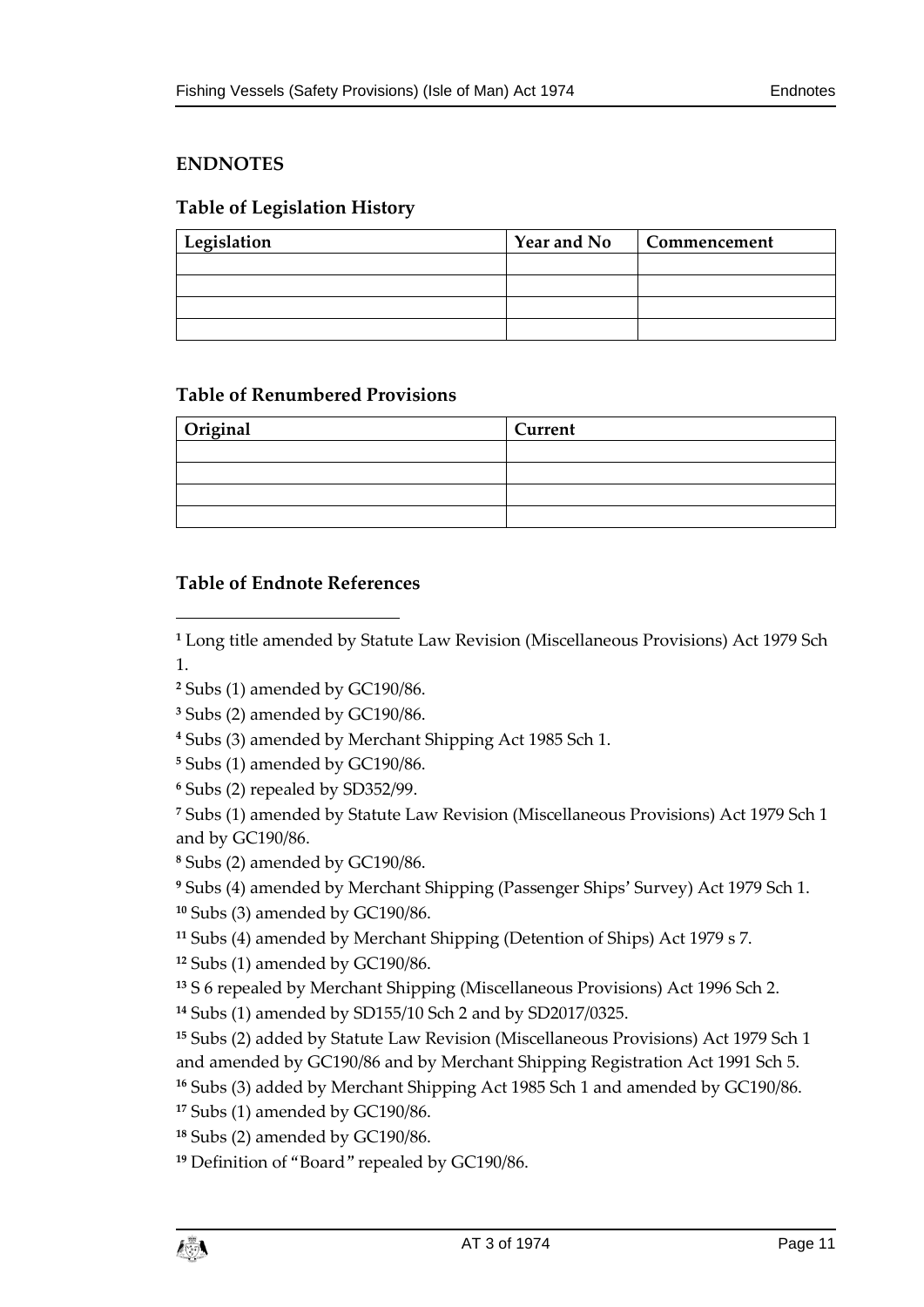#### <span id="page-10-0"></span>**ENDNOTES**

#### <span id="page-10-1"></span>**Table of Legislation History**

| Legislation | <b>Year and No</b> | Commencement |
|-------------|--------------------|--------------|
|             |                    |              |
|             |                    |              |
|             |                    |              |
|             |                    |              |

#### <span id="page-10-2"></span>**Table of Renumbered Provisions**

| Original | <b>Current</b> |
|----------|----------------|
|          |                |
|          |                |
|          |                |
|          |                |

#### <span id="page-10-3"></span>**Table of Endnote References**

 $\overline{a}$ 

 Long title amended by Statute Law Revision (Miscellaneous Provisions) Act 1979 Sch 1.

- Subs (1) amended by GC190/86.
- Subs (2) amended by GC190/86.

Subs (3) amended by Merchant Shipping Act 1985 Sch 1.

Subs (1) amended by GC190/86.

Subs (2) repealed by SD352/99.

 Subs (1) amended by Statute Law Revision (Miscellaneous Provisions) Act 1979 Sch 1 and by GC190/86.

Subs (2) amended by GC190/86.

Subs (4) amended by Merchant Shipping (Passenger Ships' Survey) Act 1979 Sch 1.

Subs (3) amended by GC190/86.

Subs (4) amended by Merchant Shipping (Detention of Ships) Act 1979 s 7.

Subs (1) amended by GC190/86.

S 6 repealed by Merchant Shipping (Miscellaneous Provisions) Act 1996 Sch 2.

Subs (1) amended by SD155/10 Sch 2 and by SD2017/0325.

 Subs (2) added by Statute Law Revision (Miscellaneous Provisions) Act 1979 Sch 1 and amended by GC190/86 and by Merchant Shipping Registration Act 1991 Sch 5.

Subs (3) added by Merchant Shipping Act 1985 Sch 1 and amended by GC190/86.

Subs (1) amended by GC190/86.

Subs (2) amended by GC190/86.

Definition of "Board" repealed by GC190/86.